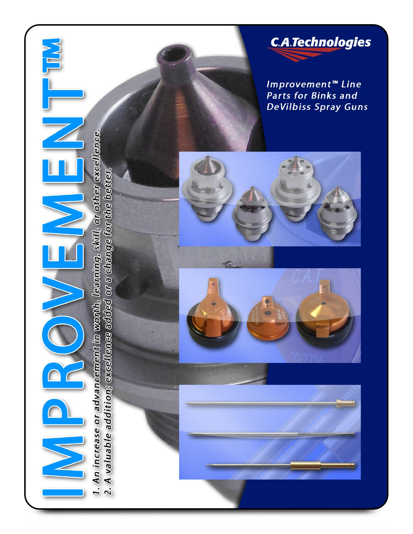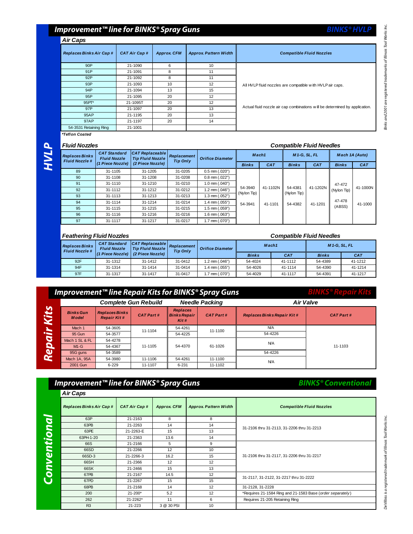### **Improvement™ line for BINKS® Spray Guns**

### *Air Caps*

| <b>Replaces Binks Air Cap#</b> | <b>CAT Air Cap#</b> | <b>Approx. CFM</b> | <b>Approx Pattern Width</b> | <b>Compatible Fluid Nozzles</b>                                              |
|--------------------------------|---------------------|--------------------|-----------------------------|------------------------------------------------------------------------------|
| 90P                            | 21-1090             | 6                  | 10                          |                                                                              |
| 91P                            | 21-1091             | 8                  | 11                          |                                                                              |
| 92P                            | 21-1092             | 8                  | 11                          |                                                                              |
| 93P                            | 21-1093             | 10                 | 12                          | All HVLP fluid nozzles are compatible with HVLP air caps.                    |
| 94P                            | 21-1094             | 13                 | 15                          |                                                                              |
| 95P                            | 21-1095             | 20                 | 12                          |                                                                              |
| 95PT*                          | 21-1095T            | 20                 | 12                          |                                                                              |
| 97P                            | 21-1097             | 20                 | 13                          | Actual fluid nozzle air cap combinations w ill be determined by application. |
| 95AP                           | 21-1195             | 20                 | 13                          |                                                                              |
| 97AP                           | 21-1197             | 20                 | 14                          |                                                                              |
| 54-3531 Retaining Ring         | 21-1001             |                    |                             |                                                                              |

*\*Teflon Coated*

## **P**

| <b>Fluid Nozzles</b>                          |                                            |                                                   |                                |                         |                        | <b>Compatible Fluid Needles</b> |                        |                     |                |            |
|-----------------------------------------------|--------------------------------------------|---------------------------------------------------|--------------------------------|-------------------------|------------------------|---------------------------------|------------------------|---------------------|----------------|------------|
| <b>Replaces Binks</b><br><b>Fluid Nozzle#</b> | <b>CAT Standard</b><br><b>Fluid Nozzle</b> | <b>CAT Replaceable</b><br><b>Tip Fluid Nozzle</b> | Replacement<br><b>Tip Only</b> | <b>Orifice Diameter</b> |                        | Mach1                           |                        | <b>M1-G, SL, FL</b> | Mach 1A (Auto) |            |
|                                               | (1 Piece Nozzle)                           | (2 Piece Nozzle)                                  |                                |                         | <b>Binks</b>           | <b>CAT</b>                      | <b>Binks</b>           | <b>CAT</b>          | <b>Binks</b>   | <b>CAT</b> |
| 89                                            | 31-1105                                    | 31-1205                                           | 31-0205                        | $0.5$ mm $(.020")$      |                        |                                 |                        |                     |                |            |
| 90                                            | 31-1108                                    | 31-1208                                           | 31-0208                        | $0.8$ mm $(.022")$      |                        |                                 |                        |                     |                |            |
| 91                                            | 31-1110                                    | 31-1210                                           | 31-0210                        | $1.0$ mm $(.040")$      |                        |                                 |                        |                     | 47-472         |            |
| 92                                            | 31-1112                                    | 31-1212                                           | 31-0212                        | 1.2 mm (.046")          | 54-3940<br>(Nylon Tip) | 41-1102N                        | 54-4381<br>(Nylon Tip) | 41-1202N            | (Nylon Tip)    | 41-1000N   |
| 93                                            | 31-1113                                    | 31-1213                                           | 31-0213                        | 1.3 mm (.052")          |                        |                                 |                        |                     |                |            |
| 94                                            | 31-1114                                    | 31-1214                                           | 31-0214                        | 1.4 mm (.055")          | 54-3941                | 41-1101                         | 54-4382                | 41-1201             | 47-478         | 41-1000    |
| 95                                            | 31-1115                                    | 31-1215                                           | 31-0215                        | 1.5 mm (.059")          |                        |                                 |                        |                     | (ABSS)         |            |
| 96                                            | 31-1116                                    | 31-1216                                           | 31-0216                        | $1.6$ mm $(.063")$      |                        |                                 |                        |                     |                |            |
| 97                                            | 31-1117                                    | 31-1217                                           | 31-0217                        | $1.7$ mm $(.070")$      |                        |                                 |                        |                     |                |            |

### *Feathering Fluid Nozzles Compatible Fluid Needles*

|                                               | , caulonny , laid <b>, cal</b> co                                                         |                  |                                |                         |              |                   |              |                     |  |
|-----------------------------------------------|-------------------------------------------------------------------------------------------|------------------|--------------------------------|-------------------------|--------------|-------------------|--------------|---------------------|--|
| <b>Replaces Binks</b><br><b>Fluid Nozzle#</b> | CAT Replaceable <br><b>CAT Standard</b><br><b>Tip Fluid Nozzle</b><br><b>Fluid Nozzle</b> |                  | Replacement<br><b>Tip Only</b> | <b>Orifice Diameter</b> |              | Mach <sub>1</sub> |              | <b>M1-G, SL, FL</b> |  |
|                                               | $(1$ Piece Nozzle)                                                                        | (2 Piece Nozzle) |                                |                         | <b>Binks</b> | <b>CAT</b>        | <b>Binks</b> | CA <sub>7</sub>     |  |
| 92F                                           | 31-1312                                                                                   | 31-1412          | 31-0412                        | 1.2 mm (.046")          | 54-4024      | 41-1112           | 54-4389      | 41-1212             |  |
| 94F                                           | 31-1314                                                                                   | 31-1414          | 31-0414                        | 1.4 mm (.055")          | 54-4026      | 41-1114           | 54-4390      | 41-1214             |  |
| 97F                                           | 31-1317                                                                                   | 31-1417          | 31-0417                        | 1.7 mm (.070")          | 54-4029      | 41-1117           | 54-4391      | 41-1217             |  |

### **Improvement™ line Repair Kits for BINKS® Spray Guns**

|           |                                                                                 |           | <b>Complete Gun Rebuild</b> |                                                | <b>Needle Packing</b> | <b>Air Valve</b>                  |                  |  |
|-----------|---------------------------------------------------------------------------------|-----------|-----------------------------|------------------------------------------------|-----------------------|-----------------------------------|------------------|--|
| Kits      | <b>Binks Gun</b><br><b>Replaces Binks</b><br><b>Repair Kit#</b><br><b>Model</b> |           | <b>CAT Part#</b>            | <b>Replaces</b><br><b>Binks Repair</b><br>Kit# | <b>CAT Part#</b>      | <b>Replaces Binks Repair Kit#</b> | <b>CAT Part#</b> |  |
|           | Mach 1                                                                          | 54-3605   | 11-1104                     | 54-4261                                        | 11-1100               | <b>N/A</b>                        |                  |  |
| air       | 95 Gun                                                                          | 54-3577   |                             | 54-4225                                        |                       | 54-4226                           |                  |  |
|           | Mach 1 SL & FL                                                                  | 54-4278   |                             |                                                | <b>N/A</b>            |                                   |                  |  |
| D         | $M1-G$                                                                          | 54-4367   | 11-1105                     | 54-4370                                        | 61-1026               |                                   | 11-1103          |  |
| <b>Re</b> | 95G guns                                                                        | 54-3589   |                             |                                                |                       | 54-4226                           |                  |  |
|           | Mach 1A, 95A                                                                    | 54-3980   | 11-1106                     | 54-4261                                        | 11-1100               | <b>N/A</b>                        |                  |  |
|           | 2001 Gun                                                                        | $6 - 229$ | 11-1107                     | $6 - 231$                                      | 11-1102               |                                   |                  |  |

### **Improvement™ line for BINKS® Spray Guns**

| <b>Air Caps</b>                 |                     |                    |                             |                                                            |
|---------------------------------|---------------------|--------------------|-----------------------------|------------------------------------------------------------|
| <b>Replaces Binks Air Cap #</b> | <b>CAT Air Cap#</b> | <b>Approx. CFM</b> | <b>Approx Pattern Width</b> | <b>Compatible Fluid Nozzles</b>                            |
| 63P                             | 21-2163             | 8                  | 8                           |                                                            |
| 63PB                            | 21-2263             | 14                 | 14                          | 31-2106 thru 31-2113, 31-2206 thru 31-2213                 |
| 63PE                            | 21-2263-E           | 15                 | 13                          |                                                            |
| 63PH-1-20                       | 21-2363             | 13.6               | 14                          |                                                            |
| 66S                             | 21-2166             | 5                  | 9                           |                                                            |
| 66SD                            | 21-2266             | 12                 | 10                          |                                                            |
| 66SD-3                          | 21-2266-3           | 16.2               | 15                          | 31-2106 thru 31-2117, 31-2206 thru 31-2217                 |
| 66SH                            | 21-2366             | 12                 | 12                          |                                                            |
| 66SK                            | 21-2466             | 15                 | 13                          |                                                            |
| 67PB                            | 21-2167             | 14.5               | 12                          | 31-2117, 31-2122, 31-2217 thru 31-2222                     |
| 67PD                            | 21-2267             | 15                 | 15                          |                                                            |
| 68PB                            | 21-2168             | 14                 | 12                          | 31-2128, 31-2228                                           |
| 200                             | $21 - 200*$         | 5.2                | 12                          | *Requires 21-1584 Ring and 21-1583 Base (order separately) |
| 262                             | 21-2262*            | 11                 | 6                           | Requires 21-205 Retaining Ring                             |
| R <sub>3</sub>                  | 21-223              | 3 @ 30 PSI         | 10                          |                                                            |

# Binks and 2001 are registered trademarks of Illinois Tool Works Inc.

**BINKS® HVLP**

**BINKS® Repair Kits**

**BINKS® Conventional**

## DeVilbiss is a registered trademark of Illinois Tool Works Inc.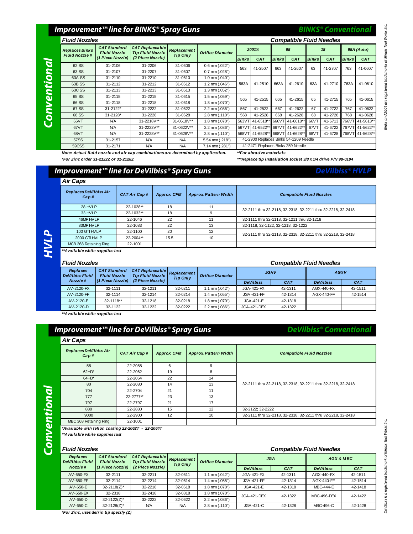### **Improvement™ line for BINKS® Spray Guns**

### **Co nve nti onal**

**HVL P**

| <b>Fluid Nozzles</b>                          |                                            |                                                   | <b>Compatible Fluid Needles</b> |                         |                                       |                 |              |                 |              |            |                   |                 |
|-----------------------------------------------|--------------------------------------------|---------------------------------------------------|---------------------------------|-------------------------|---------------------------------------|-----------------|--------------|-----------------|--------------|------------|-------------------|-----------------|
| <b>Replaces Binks</b><br><b>Fluid Nozzle#</b> | <b>CAT Standard</b><br><b>Fluid Nozzle</b> | <b>CAT Replaceable</b><br><b>Tip Fluid Nozzle</b> | Replacement<br><b>Tip Only</b>  | <b>Orifice Diameter</b> |                                       | 2001®           |              | 95              | 18           |            | 95A (Auto)        |                 |
|                                               | (1 Piece Nozzle)                           | (2 Piece Nozzle)                                  |                                 |                         | <b>Binks</b>                          | <b>CAT</b>      | <b>Binks</b> | <b>CAT</b>      | <b>Binks</b> | <b>CAT</b> | <b>Binks</b>      | <b>CAT</b>      |
| 62 SS                                         | 31-2106                                    | 31-2206                                           | 31-0606                         | $0.6$ mm $(.022")$      | 563                                   | 41-2507         | 663          | 41-2607         | 63           | 41-2707    | 763               | 41-0607         |
| 63 SS                                         | 31-2107                                    | 31-2207                                           | 31-0607                         | $0.7$ mm $(.028")$      |                                       |                 |              |                 |              |            |                   |                 |
| 63A SS                                        | 31-2110                                    | 31-2210                                           | 31-0610                         | 1.0 mm (.040")          |                                       |                 |              |                 |              |            |                   |                 |
| 63B <sub>SS</sub>                             | 31-2112                                    | 31-2212                                           | 31-0612                         | 1.2 mm (.046")          | 563A                                  | 41-2510         | 663A         | 41-2610         | 63A          | 41-2710    | 763A              | 41-0610         |
| 63C SS                                        | 31-2113                                    | 31-2213                                           | 31-0613                         | 1.3 mm (.052")          |                                       |                 |              |                 |              |            |                   |                 |
| 65 SS                                         | 31-2115                                    | 31-2215                                           | 31-0615                         | 1.5 mm (.059")          | 565                                   | 41-2515         | 665          | 41-2615         | 65           | 41-2715    | 765               | 41-0615         |
| 66 SS                                         | 31-2118                                    | 31-2218                                           | 31-0618                         | 1.8 mm (.070")          |                                       |                 |              |                 |              |            |                   |                 |
| 67 SS                                         | $31 - 2122$ *                              | 31-2222                                           | 31-0622                         | $2.2$ mm $(.086")$      | 567                                   | 41-2522         | 667          | 41-2622         | 67           | 41-2722    | 767               | 41-0622         |
| 68 SS                                         | 31-2128*                                   | 31-2228                                           | 31-0628                         | $2.8$ mm $(.110")$      | 568                                   | 41-2528         | 668          | 41-2628         | 68           | 41-2728    | 768               | 41-0628         |
| 66VT                                          | <b>N/A</b>                                 | 31-2218V**                                        | 31-0618V**                      | 1.8 mm (.070")          | 563VT                                 | 41-6518**       | 666VT        | 41-6618*        | 66VT         | 41-6713    | 766V <sup>-</sup> | 41-5613**       |
| 67VT                                          | <b>N/A</b>                                 | 31-2222V**                                        | 31-0622V**                      | 2.2 mm (.086")          | 567VT                                 | 41-6522**       |              | 667VT 41-6622*  | 67VT         | 41-6722    | 767VT             | 41-5622**       |
| 68VT                                          | <b>N/A</b>                                 | 31-2228V**                                        | 31-0628V**                      | $2.8$ mm $(.110")$      |                                       | 568VT 41-6528** |              | 668VT 41-6628** | 68VT         | 41-6728    |                   | 768VT 41-5628** |
| 57SS                                          | 31-2157                                    | <b>N/A</b>                                        | <b>N/A</b>                      | 5.54 mm (.218")         | 41-2900 Replaces Binks 54-1209 Needle |                 |              |                 |              |            |                   |                 |
| 59CSS                                         | 31-2171                                    | <b>N/A</b>                                        | <b>N/A</b>                      | 7.14 mm (.281")         | 41-2471 Replaces Binks 259 Needle     |                 |              |                 |              |            |                   |                 |

**BINKS® Conventional**

**DeVilbiss® HVLP**

**DeVilbiss® Conventional**

*Note: Actual fluid nozzle and air cap combinations are determined by application. \*\*For abrasive materials \*For Zinc order 31-2122Z or 31-2128Z \*\*\*Replace tip installation socket 3/8 x 1/4 drive P/N 98-0104*

### **Improvement™ line for DeVilbiss® Spray Guns**

### *Replaces DeVilbiss Air Cap # CAT Air Cap # Approx. CFM Approx. Pattern Width Compatible Fluid Nozzles* 28 HVLP 22-1028\*\* 18 18 11 33 HVLP 22-1033\*\* 18 9 46MP HVLP 22-1046 22 11 32-1111 thru 32-1111 thru 32-1118, 32-1211 thru 32-1218 83MP HVLP 22-1083 22 22 13 32-1118, 32-1122, 32-1218, 32-1222 100 GTI HVLP 22-1100 20 12 2000 GTI HVLP 22-2004\*\* 15.5 10 MCB 368 Retaining Ring 22-1001 *Air Caps* 32-2111 thru 32-2118, 32-2318, 32-2211 thru 32-2218, 32-2418 32-2111 thru 32-2118, 32-2318, 32-2211 thru 32-2218, 32-2418

*\*\*Available while supplies last*

| <b>Fluid Nozzles</b>               |                                                                                                |                  | <b>Compatible Fluid Needles</b>                           |                    |                    |            |                   |         |
|------------------------------------|------------------------------------------------------------------------------------------------|------------------|-----------------------------------------------------------|--------------------|--------------------|------------|-------------------|---------|
| Replaces<br><b>DeVilbiss Fluid</b> | $ CAT \tRe$ placeable<br><b>CAT Standard</b><br><b>Fluid Nozzle</b><br><b>Tip Fluid Nozzle</b> |                  | Replacement<br><b>Orifice Diameter</b><br><b>Tip Only</b> |                    | <b>JGHV</b>        |            | AGXV              |         |
| Nozzle#                            | (1 Piece Nozzle)                                                                               | (2 Piece Nozzle) |                                                           |                    | <b>DeVilbiss</b>   | <b>CAT</b> | <b>DeVilbiss</b>  | CAT     |
| AV-2120-FX                         | 32-1111                                                                                        | 32-1211          | 32-0211                                                   | 1.1 mm (.042")     | <b>JGA-421-FX</b>  | 42-1311    | AGX-440-FX        | 42-1511 |
| AV-2120-FF                         | 32-1114                                                                                        | 32-1214          | 32-0214                                                   | 1.4 mm (.055")     | JGA-421-FF         | 42-1314    | <b>AGX-440-FF</b> | 42-1514 |
| AV-2120-E                          | 32-1118**                                                                                      | 32-1218          | 32-0218                                                   | 1.8 mm (.070")     | JGA-421-E          | 42-1318    |                   |         |
| AV-2120-D                          | 32-1122                                                                                        | 32-1222          | 32-0222                                                   | $2.2$ mm $(.086")$ | <b>JGA-421-DEX</b> | 42-1322    |                   |         |

*\*\*Available while supplies last*

### **Improvement™ line for DeVilbiss® Spray Guns**

| Replaces DeVilbiss Air<br>Cap# | <b>CAT Air Cap #</b> | <b>Approx. CFM</b> | <b>Approx Pattern Width</b> | <b>Compatible Fluid Nozzles</b>                              |  |  |  |  |
|--------------------------------|----------------------|--------------------|-----------------------------|--------------------------------------------------------------|--|--|--|--|
| 58                             | 22-2058              | 6                  | 9                           |                                                              |  |  |  |  |
| $62HD^*$                       | 22-2062              | 19                 | 8                           |                                                              |  |  |  |  |
| $64HD^*$                       | 22-2064              | 22                 | 14                          |                                                              |  |  |  |  |
| 80                             | 22-2080              | 14                 | 13                          | 32-2111 thru 32-2118, 32-2318, 32-2211 thru 32-2218, 32-2418 |  |  |  |  |
| 704                            | 22-2704              | 21                 | 11                          |                                                              |  |  |  |  |
| 777                            | 22-2777**            | 23                 | 13                          |                                                              |  |  |  |  |
| 797                            | 22-2797              | 21                 | 17                          |                                                              |  |  |  |  |
| 880                            | 22-2880              | 15                 | 12                          | 32-2122; 32-2222                                             |  |  |  |  |
| 9000                           | 22-2900              | 12                 | 10                          | 32-2111 thru 32-2118, 32-2318, 32-2211 thru 32-2218, 32-2418 |  |  |  |  |
| MBC 368 Retaining Ring         | 22-1001              |                    |                             |                                                              |  |  |  |  |

*\*\*Available while supplies last*

**Co n**

**nti onal**

| <b>Fluid Nozzles</b>               |                                            |                                                   |                                | <b>Compatible Fluid Needles</b> |                   |            |                   |         |
|------------------------------------|--------------------------------------------|---------------------------------------------------|--------------------------------|---------------------------------|-------------------|------------|-------------------|---------|
| Replaces<br><b>DeVilbiss Fluid</b> | <b>CAT Standard</b><br><b>Fluid Nozzle</b> | <b>CAT Replaceable</b><br><b>Tip Fluid Nozzle</b> | Replacement<br><b>Tip Only</b> | <b>Orifice Diameter</b>         | <b>JGA</b>        |            | AGX & MBC         |         |
| Nozzle#                            | (1 Piece Nozzle)                           | (2 Piece Nozzle)                                  |                                |                                 | <b>DeVilbiss</b>  | <b>CAT</b> | <b>DeVilbiss</b>  | CAT     |
| AV-650-FX                          | 32-2111                                    | 32-2211                                           | 32-0611                        | $1.1$ mm $(.042")$              | <b>JGA-421-FX</b> | 42-1311    | AGX-440-FX        | 42-1511 |
| AV-650-FF                          | 32-2114                                    | 32-2214                                           | 32-0614                        | 1.4 mm (.055")                  | <b>JGA-421-FF</b> | 42-1314    | <b>AGX-440-FF</b> | 42-1514 |
| AV-650-E                           | 32-2118(Z)*                                | 32-2218                                           | 32-0618                        | $1.8$ mm $(.070")$              | JGA-421-E         | 42-1318    | <b>MBC-444-E</b>  | 42-1418 |
| AV-650-EX                          | 32-2318                                    | 32-2418                                           | 32-0818                        | 1.8 mm (.070")                  | JGA-421-DEX       | 42-1322    | MBC-496-DEX       | 42-1422 |
| AV-650-D                           | $32 - 2122(Z)^*$                           | 32-2222                                           | 32-0622                        | $2.2$ mm $(.086")$              |                   |            |                   |         |
| AV-650-C                           | 32-2128(Z)*                                | <b>N/A</b>                                        | <b>N/A</b>                     | $2.8$ mm $(.110")$              | JGA-421-C         | 42-1328    | MBC-496-C         | 42-1428 |

DeVibiss is a registered trademark sof Works Inc. Binks and 2001 Works Tool Works of Illinois Tool Works Inc. Binks and 2001 are registered trademarks of Illinois Tool Works Inc. Inc. Binks of Illinois Tool Works Inc. DeVilbiss is a registered trademark of Illinois Tool Works Inc.